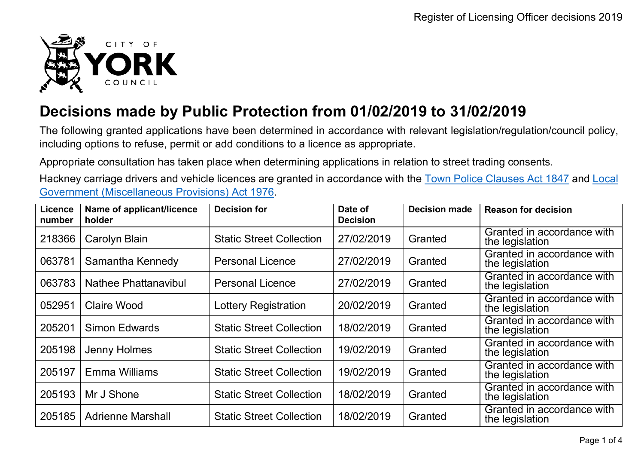

## **Decisions made by Public Protection from 01/02/2019 to 31/02/2019**

The following granted applications have been determined in accordance with relevant legislation/regulation/council policy, including options to refuse, permit or add conditions to a licence as appropriate.

Appropriate consultation has taken place when determining applications in relation to street trading consents.

Hackney carriage drivers and vehicle licences are granted in accordance with the Town Police [Clauses](http://www.legislation.gov.uk/ukpga/Vict/10-11/89) Act 1847 and [Local](http://www.legislation.gov.uk/ukpga/1976/57) [Government \(Miscellaneous Provisions\) Act 1976.](http://www.legislation.gov.uk/ukpga/1976/57)

| Licence<br>number | Name of applicant/licence<br>holder | <b>Decision for</b>             | Date of<br><b>Decision</b> | <b>Decision made</b> | <b>Reason for decision</b>                    |
|-------------------|-------------------------------------|---------------------------------|----------------------------|----------------------|-----------------------------------------------|
| 218366            | <b>Carolyn Blain</b>                | <b>Static Street Collection</b> | 27/02/2019                 | Granted              | Granted in accordance with<br>the legislation |
| 063781            | Samantha Kennedy                    | <b>Personal Licence</b>         | 27/02/2019                 | Granted              | Granted in accordance with<br>the legislation |
| 063783            | Nathee Phattanavibul                | <b>Personal Licence</b>         | 27/02/2019                 | Granted              | Granted in accordance with<br>the legislation |
| 052951            | <b>Claire Wood</b>                  | <b>Lottery Registration</b>     | 20/02/2019                 | Granted              | Granted in accordance with<br>the legislation |
| 205201            | <b>Simon Edwards</b>                | <b>Static Street Collection</b> | 18/02/2019                 | Granted              | Granted in accordance with<br>the legislation |
| 205198            | Jenny Holmes                        | <b>Static Street Collection</b> | 19/02/2019                 | Granted              | Granted in accordance with<br>the legislation |
| 205197            | Emma Williams                       | <b>Static Street Collection</b> | 19/02/2019                 | Granted              | Granted in accordance with<br>the legislation |
| 205193            | Mr J Shone                          | <b>Static Street Collection</b> | 18/02/2019                 | Granted              | Granted in accordance with<br>the legislation |
| 205185            | <b>Adrienne Marshall</b>            | <b>Static Street Collection</b> | 18/02/2019                 | Granted              | Granted in accordance with<br>the legislation |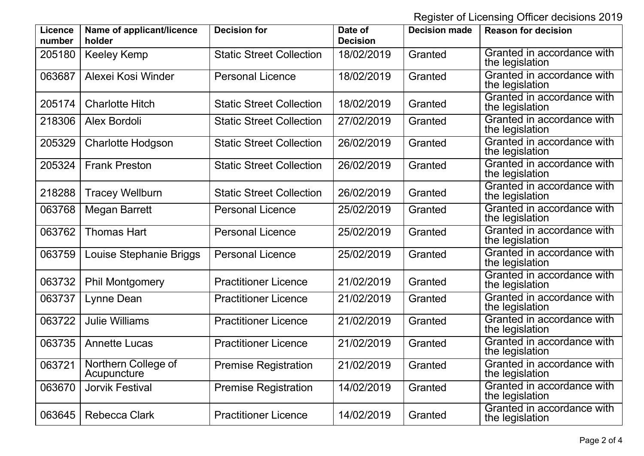Register of Licensing Officer decisions 2019

| <b>Licence</b><br>number | Name of applicant/licence<br>holder | <b>Decision for</b>             | Date of<br><b>Decision</b> | <b>Decision made</b> | <b>Reason for decision</b>                    |
|--------------------------|-------------------------------------|---------------------------------|----------------------------|----------------------|-----------------------------------------------|
| 205180                   | <b>Keeley Kemp</b>                  | <b>Static Street Collection</b> | 18/02/2019                 | Granted              | Granted in accordance with<br>the legislation |
| 063687                   | Alexei Kosi Winder                  | <b>Personal Licence</b>         | 18/02/2019                 | Granted              | Granted in accordance with<br>the legislation |
| 205174                   | <b>Charlotte Hitch</b>              | <b>Static Street Collection</b> | 18/02/2019                 | Granted              | Granted in accordance with<br>the legislation |
| 218306                   | Alex Bordoli                        | <b>Static Street Collection</b> | 27/02/2019                 | Granted              | Granted in accordance with<br>the legislation |
| 205329                   | <b>Charlotte Hodgson</b>            | <b>Static Street Collection</b> | 26/02/2019                 | Granted              | Granted in accordance with<br>the legislation |
| 205324                   | <b>Frank Preston</b>                | <b>Static Street Collection</b> | 26/02/2019                 | Granted              | Granted in accordance with<br>the legislation |
| 218288                   | <b>Tracey Wellburn</b>              | <b>Static Street Collection</b> | 26/02/2019                 | Granted              | Granted in accordance with<br>the legislation |
| 063768                   | <b>Megan Barrett</b>                | <b>Personal Licence</b>         | 25/02/2019                 | Granted              | Granted in accordance with<br>the legislation |
| 063762                   | <b>Thomas Hart</b>                  | <b>Personal Licence</b>         | 25/02/2019                 | Granted              | Granted in accordance with<br>the legislation |
| 063759                   | Louise Stephanie Briggs             | <b>Personal Licence</b>         | 25/02/2019                 | Granted              | Granted in accordance with<br>the legislation |
| 063732                   | <b>Phil Montgomery</b>              | <b>Practitioner Licence</b>     | 21/02/2019                 | Granted              | Granted in accordance with<br>the legislation |
| 063737                   | Lynne Dean                          | <b>Practitioner Licence</b>     | 21/02/2019                 | Granted              | Granted in accordance with<br>the legislation |
| 063722                   | <b>Julie Williams</b>               | <b>Practitioner Licence</b>     | 21/02/2019                 | Granted              | Granted in accordance with<br>the legislation |
| 063735                   | <b>Annette Lucas</b>                | <b>Practitioner Licence</b>     | 21/02/2019                 | Granted              | Granted in accordance with<br>the legislation |
| 063721                   | Northern College of<br>Acupuncture  | <b>Premise Registration</b>     | 21/02/2019                 | Granted              | Granted in accordance with<br>the legislation |
| 063670                   | <b>Jorvik Festival</b>              | <b>Premise Registration</b>     | 14/02/2019                 | Granted              | Granted in accordance with<br>the legislation |
| 063645                   | <b>Rebecca Clark</b>                | <b>Practitioner Licence</b>     | 14/02/2019                 | Granted              | Granted in accordance with<br>the legislation |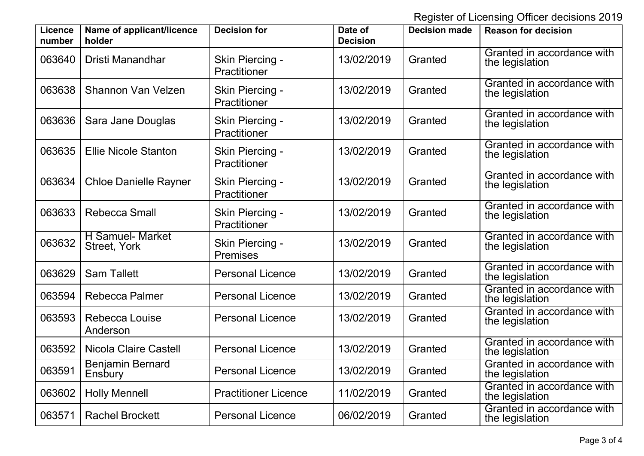Register of Licensing Officer decisions 2019

| <b>Licence</b><br>number | Name of applicant/licence<br>holder            | <b>Decision for</b>                | Date of<br><b>Decision</b> | <b>Decision made</b> | <b>Reason for decision</b>                    |
|--------------------------|------------------------------------------------|------------------------------------|----------------------------|----------------------|-----------------------------------------------|
| 063640                   | Dristi Manandhar                               | Skin Piercing -<br>Practitioner    | 13/02/2019                 | Granted              | Granted in accordance with<br>the legislation |
| 063638                   | <b>Shannon Van Velzen</b>                      | Skin Piercing -<br>Practitioner    | 13/02/2019                 | Granted              | Granted in accordance with<br>the legislation |
| 063636                   | Sara Jane Douglas                              | Skin Piercing -<br>Practitioner    | 13/02/2019                 | Granted              | Granted in accordance with<br>the legislation |
| 063635                   | <b>Ellie Nicole Stanton</b>                    | Skin Piercing -<br>Practitioner    | 13/02/2019                 | Granted              | Granted in accordance with<br>the legislation |
| 063634                   | <b>Chloe Danielle Rayner</b>                   | Skin Piercing -<br>Practitioner    | 13/02/2019                 | Granted              | Granted in accordance with<br>the legislation |
| 063633                   | <b>Rebecca Small</b>                           | Skin Piercing -<br>Practitioner    | 13/02/2019                 | Granted              | Granted in accordance with<br>the legislation |
| 063632                   | <b>H</b> Samuel- Market<br><b>Street, York</b> | Skin Piercing -<br><b>Premises</b> | 13/02/2019                 | Granted              | Granted in accordance with<br>the legislation |
| 063629                   | <b>Sam Tallett</b>                             | <b>Personal Licence</b>            | 13/02/2019                 | Granted              | Granted in accordance with<br>the legislation |
| 063594                   | <b>Rebecca Palmer</b>                          | <b>Personal Licence</b>            | 13/02/2019                 | Granted              | Granted in accordance with<br>the legislation |
| 063593                   | <b>Rebecca Louise</b><br>Anderson              | <b>Personal Licence</b>            | 13/02/2019                 | Granted              | Granted in accordance with<br>the legislation |
| 063592                   | <b>Nicola Claire Castell</b>                   | <b>Personal Licence</b>            | 13/02/2019                 | Granted              | Granted in accordance with<br>the legislation |
| 063591                   | <b>Benjamin Bernard</b><br>Ensbury             | <b>Personal Licence</b>            | 13/02/2019                 | Granted              | Granted in accordance with<br>the legislation |
| 063602                   | <b>Holly Mennell</b>                           | <b>Practitioner Licence</b>        | 11/02/2019                 | Granted              | Granted in accordance with<br>the legislation |
| 063571                   | <b>Rachel Brockett</b>                         | <b>Personal Licence</b>            | 06/02/2019                 | Granted              | Granted in accordance with<br>the legislation |